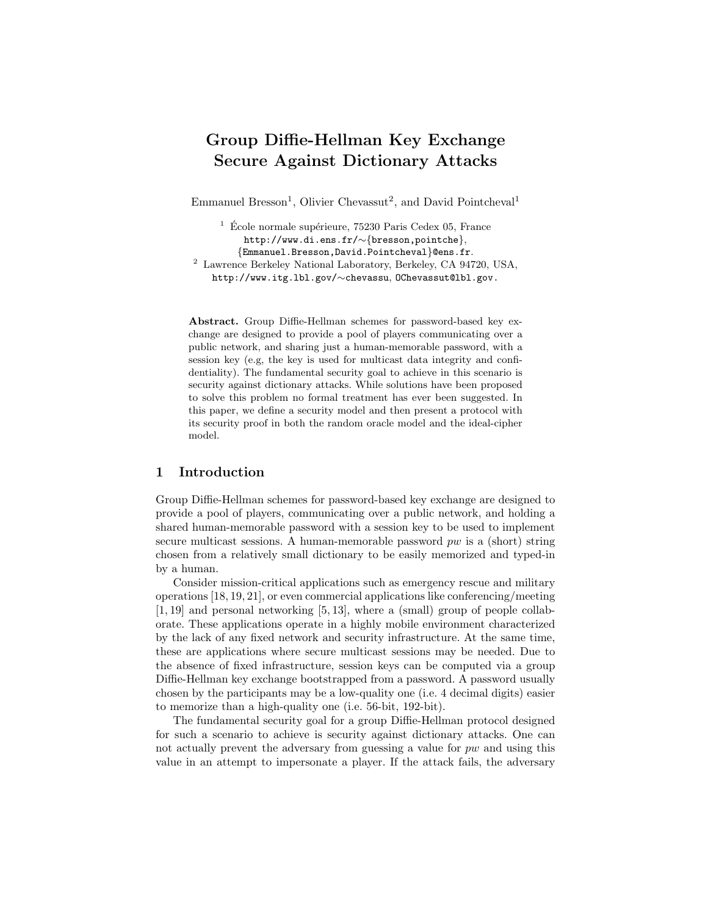# Group Diffie-Hellman Key Exchange Secure Against Dictionary Attacks

Emmanuel Bresson<sup>1</sup>, Olivier Chevassut<sup>2</sup>, and David Pointcheval<sup>1</sup>

 $1\text{ }$  École normale supérieure, 75230 Paris Cedex 05, France http://www.di.ens.fr/∼{bresson,pointche}, {Emmanuel.Bresson,David.Pointcheval}@ens.fr. <sup>2</sup> Lawrence Berkeley National Laboratory, Berkeley, CA 94720, USA, http://www.itg.lbl.gov/∼chevassu, OChevassut@lbl.gov.

Abstract. Group Diffie-Hellman schemes for password-based key exchange are designed to provide a pool of players communicating over a public network, and sharing just a human-memorable password, with a session key (e.g, the key is used for multicast data integrity and confidentiality). The fundamental security goal to achieve in this scenario is security against dictionary attacks. While solutions have been proposed to solve this problem no formal treatment has ever been suggested. In this paper, we define a security model and then present a protocol with its security proof in both the random oracle model and the ideal-cipher model.

### 1 Introduction

Group Diffie-Hellman schemes for password-based key exchange are designed to provide a pool of players, communicating over a public network, and holding a shared human-memorable password with a session key to be used to implement secure multicast sessions. A human-memorable password  $pw$  is a (short) string chosen from a relatively small dictionary to be easily memorized and typed-in by a human.

Consider mission-critical applications such as emergency rescue and military operations [18, 19, 21], or even commercial applications like conferencing/meeting  $[1, 19]$  and personal networking  $[5, 13]$ , where a (small) group of people collaborate. These applications operate in a highly mobile environment characterized by the lack of any fixed network and security infrastructure. At the same time, these are applications where secure multicast sessions may be needed. Due to the absence of fixed infrastructure, session keys can be computed via a group Diffie-Hellman key exchange bootstrapped from a password. A password usually chosen by the participants may be a low-quality one (i.e. 4 decimal digits) easier to memorize than a high-quality one (i.e. 56-bit, 192-bit).

The fundamental security goal for a group Diffie-Hellman protocol designed for such a scenario to achieve is security against dictionary attacks. One can not actually prevent the adversary from guessing a value for pw and using this value in an attempt to impersonate a player. If the attack fails, the adversary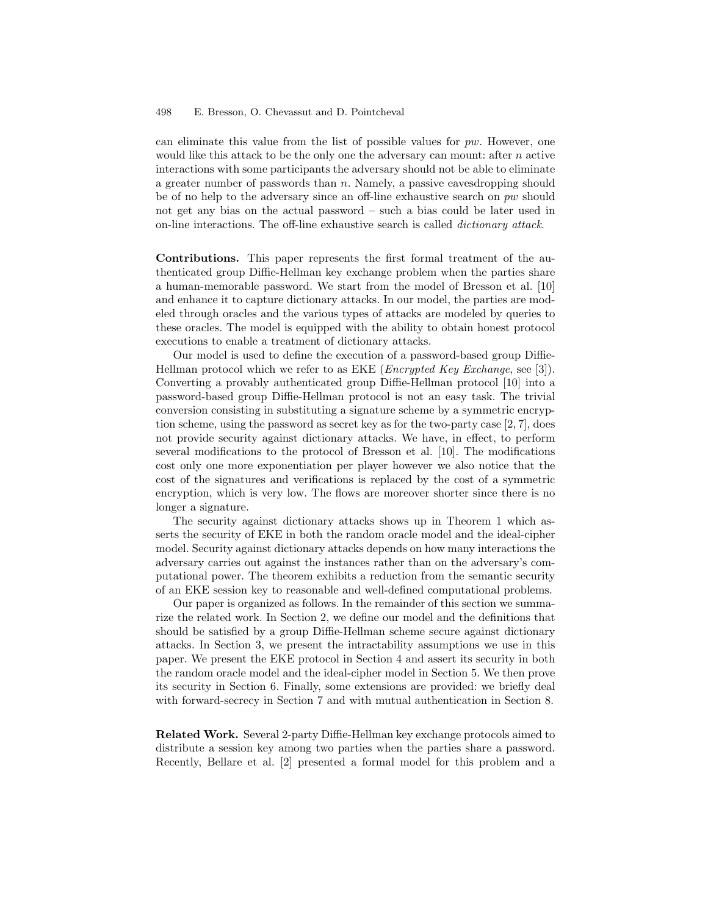can eliminate this value from the list of possible values for  $pw$ . However, one would like this attack to be the only one the adversary can mount: after  $n$  active interactions with some participants the adversary should not be able to eliminate a greater number of passwords than  $n$ . Namely, a passive eavesdropping should be of no help to the adversary since an off-line exhaustive search on pw should not get any bias on the actual password – such a bias could be later used in on-line interactions. The off-line exhaustive search is called dictionary attack.

Contributions. This paper represents the first formal treatment of the authenticated group Diffie-Hellman key exchange problem when the parties share a human-memorable password. We start from the model of Bresson et al. [10] and enhance it to capture dictionary attacks. In our model, the parties are modeled through oracles and the various types of attacks are modeled by queries to these oracles. The model is equipped with the ability to obtain honest protocol executions to enable a treatment of dictionary attacks.

Our model is used to define the execution of a password-based group Diffie-Hellman protocol which we refer to as EKE (Encrypted Key Exchange, see [3]). Converting a provably authenticated group Diffie-Hellman protocol [10] into a password-based group Diffie-Hellman protocol is not an easy task. The trivial conversion consisting in substituting a signature scheme by a symmetric encryption scheme, using the password as secret key as for the two-party case [2, 7], does not provide security against dictionary attacks. We have, in effect, to perform several modifications to the protocol of Bresson et al. [10]. The modifications cost only one more exponentiation per player however we also notice that the cost of the signatures and verifications is replaced by the cost of a symmetric encryption, which is very low. The flows are moreover shorter since there is no longer a signature.

The security against dictionary attacks shows up in Theorem 1 which asserts the security of EKE in both the random oracle model and the ideal-cipher model. Security against dictionary attacks depends on how many interactions the adversary carries out against the instances rather than on the adversary's computational power. The theorem exhibits a reduction from the semantic security of an EKE session key to reasonable and well-defined computational problems.

Our paper is organized as follows. In the remainder of this section we summarize the related work. In Section 2, we define our model and the definitions that should be satisfied by a group Diffie-Hellman scheme secure against dictionary attacks. In Section 3, we present the intractability assumptions we use in this paper. We present the EKE protocol in Section 4 and assert its security in both the random oracle model and the ideal-cipher model in Section 5. We then prove its security in Section 6. Finally, some extensions are provided: we briefly deal with forward-secrecy in Section 7 and with mutual authentication in Section 8.

Related Work. Several 2-party Diffie-Hellman key exchange protocols aimed to distribute a session key among two parties when the parties share a password. Recently, Bellare et al. [2] presented a formal model for this problem and a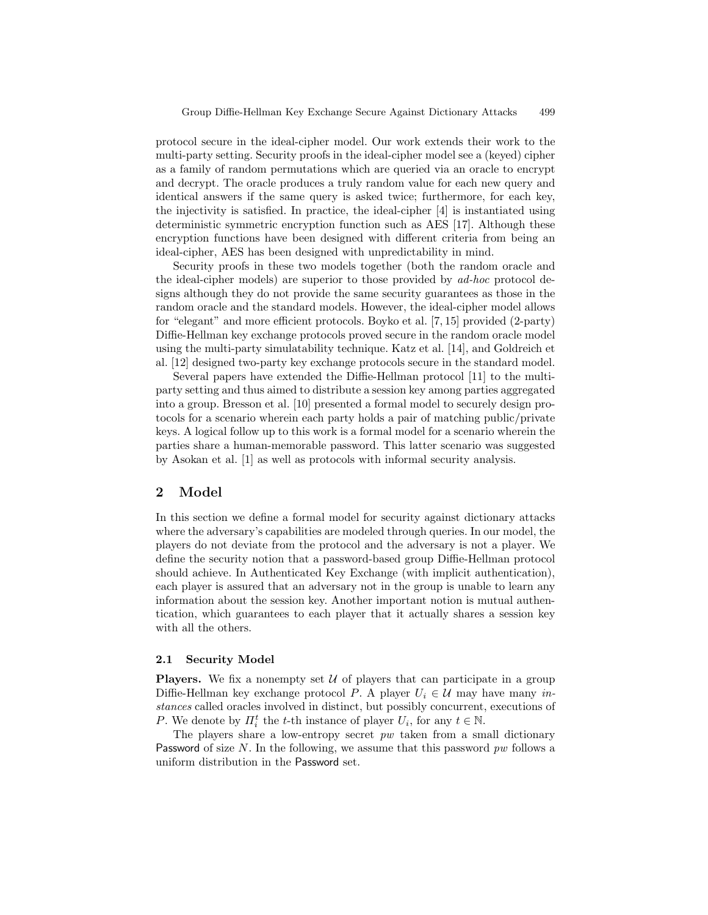protocol secure in the ideal-cipher model. Our work extends their work to the multi-party setting. Security proofs in the ideal-cipher model see a (keyed) cipher as a family of random permutations which are queried via an oracle to encrypt and decrypt. The oracle produces a truly random value for each new query and identical answers if the same query is asked twice; furthermore, for each key, the injectivity is satisfied. In practice, the ideal-cipher [4] is instantiated using deterministic symmetric encryption function such as AES [17]. Although these encryption functions have been designed with different criteria from being an ideal-cipher, AES has been designed with unpredictability in mind.

Security proofs in these two models together (both the random oracle and the ideal-cipher models) are superior to those provided by ad-hoc protocol designs although they do not provide the same security guarantees as those in the random oracle and the standard models. However, the ideal-cipher model allows for "elegant" and more efficient protocols. Boyko et al. [7, 15] provided (2-party) Diffie-Hellman key exchange protocols proved secure in the random oracle model using the multi-party simulatability technique. Katz et al. [14], and Goldreich et al. [12] designed two-party key exchange protocols secure in the standard model.

Several papers have extended the Diffie-Hellman protocol [11] to the multiparty setting and thus aimed to distribute a session key among parties aggregated into a group. Bresson et al. [10] presented a formal model to securely design protocols for a scenario wherein each party holds a pair of matching public/private keys. A logical follow up to this work is a formal model for a scenario wherein the parties share a human-memorable password. This latter scenario was suggested by Asokan et al. [1] as well as protocols with informal security analysis.

# 2 Model

In this section we define a formal model for security against dictionary attacks where the adversary's capabilities are modeled through queries. In our model, the players do not deviate from the protocol and the adversary is not a player. We define the security notion that a password-based group Diffie-Hellman protocol should achieve. In Authenticated Key Exchange (with implicit authentication), each player is assured that an adversary not in the group is unable to learn any information about the session key. Another important notion is mutual authentication, which guarantees to each player that it actually shares a session key with all the others.

#### 2.1 Security Model

**Players.** We fix a nonempty set  $U$  of players that can participate in a group Diffie-Hellman key exchange protocol P. A player  $U_i \in \mathcal{U}$  may have many instances called oracles involved in distinct, but possibly concurrent, executions of P. We denote by  $\Pi_i^t$  the t-th instance of player  $U_i$ , for any  $t \in \mathbb{N}$ .

The players share a low-entropy secret  $pw$  taken from a small dictionary Password of size  $N$ . In the following, we assume that this password  $pw$  follows a uniform distribution in the Password set.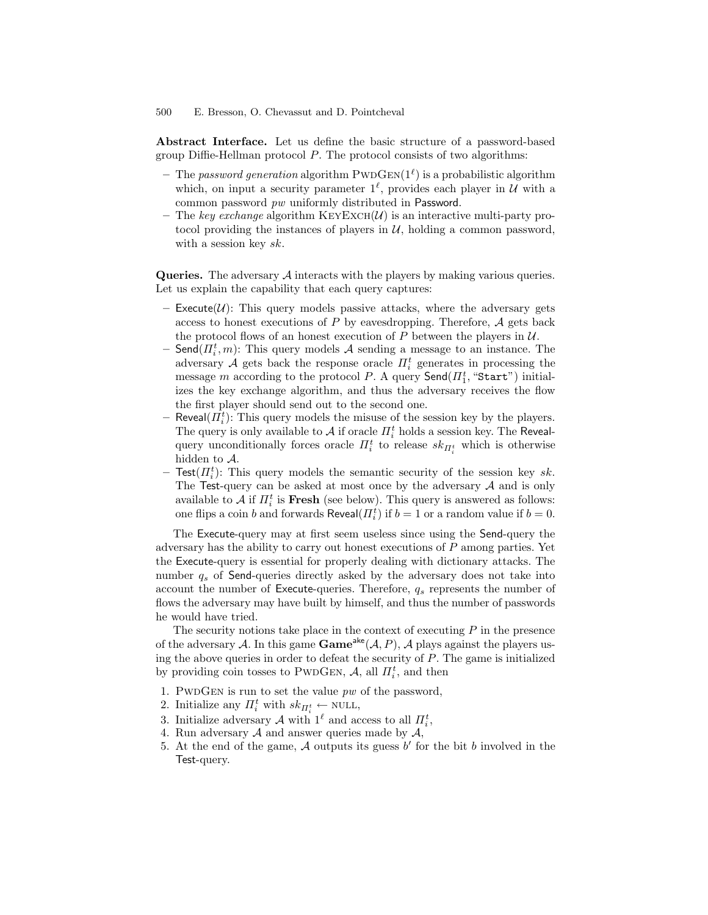Abstract Interface. Let us define the basic structure of a password-based group Diffie-Hellman protocol  $P$ . The protocol consists of two algorithms:

- The password generation algorithm  $\text{PWDGEN}(1^{\ell})$  is a probabilistic algorithm which, on input a security parameter  $1^{\ell}$ , provides each player in  $\mathcal{U}$  with a common password pw uniformly distributed in Password.
- The key exchange algorithm  $KEYEXCH(\mathcal{U})$  is an interactive multi-party protocol providing the instances of players in  $U$ , holding a common password, with a session key sk.

Queries. The adversary A interacts with the players by making various queries. Let us explain the capability that each query captures:

- Execute( $\mathcal{U}$ ): This query models passive attacks, where the adversary gets access to honest executions of  $P$  by eavesdropping. Therefore,  $A$  gets back the protocol flows of an honest execution of P between the players in  $U$ .
- $-$  Send $(\Pi_i^t, m)$ : This query models  $A$  sending a message to an instance. The adversary A gets back the response oracle  $\Pi_i^t$  generates in processing the message  $m$  according to the protocol  $P$ . A query  $\mathsf{Send}(H_1^t, \text{``Start''})$  initializes the key exchange algorithm, and thus the adversary receives the flow the first player should send out to the second one.
- $-$  Reveal( $\Pi_i^t$ ): This query models the misuse of the session key by the players. The query is only available to  $\mathcal A$  if oracle  $\varPi_i^t$  holds a session key. The Revealquery unconditionally forces oracle  $\Pi_i^t$  to release  $sk_{\Pi_i^t}$  which is otherwise hidden to A.
- $-$  Test $(\Pi_i^t)$ : This query models the semantic security of the session key sk. The Test-query can be asked at most once by the adversary  $A$  and is only available to  $A$  if  $\Pi_i^t$  is **Fresh** (see below). This query is answered as follows: one flips a coin b and forwards  $\mathsf{Revea}(\Pi_i^t)$  if  $b = 1$  or a random value if  $b = 0$ .

The Execute-query may at first seem useless since using the Send-query the adversary has the ability to carry out honest executions of P among parties. Yet the Execute-query is essential for properly dealing with dictionary attacks. The number  $q_s$  of Send-queries directly asked by the adversary does not take into account the number of Execute-queries. Therefore,  $q_s$  represents the number of flows the adversary may have built by himself, and thus the number of passwords he would have tried.

The security notions take place in the context of executing  $P$  in the presence of the adversary A. In this game  $\mathbf{Game}^{\mathsf{ake}}(\mathcal{A}, P)$ , A plays against the players using the above queries in order to defeat the security of  $P$ . The game is initialized by providing coin tosses to PWDGEN,  $A$ , all  $\Pi_i^t$ , and then

- 1. PWDGEN is run to set the value  $pw$  of the password,
- 2. Initialize any  $\Pi_i^t$  with  $sk_{\Pi_i^t} \leftarrow \text{NULL},$
- 3. Initialize adversary A with  $1^{\ell}$  and access to all  $\Pi_i^t$ ,
- 4. Run adversary  $A$  and answer queries made by  $A$ ,
- 5. At the end of the game,  $A$  outputs its guess  $b'$  for the bit  $b$  involved in the Test-query.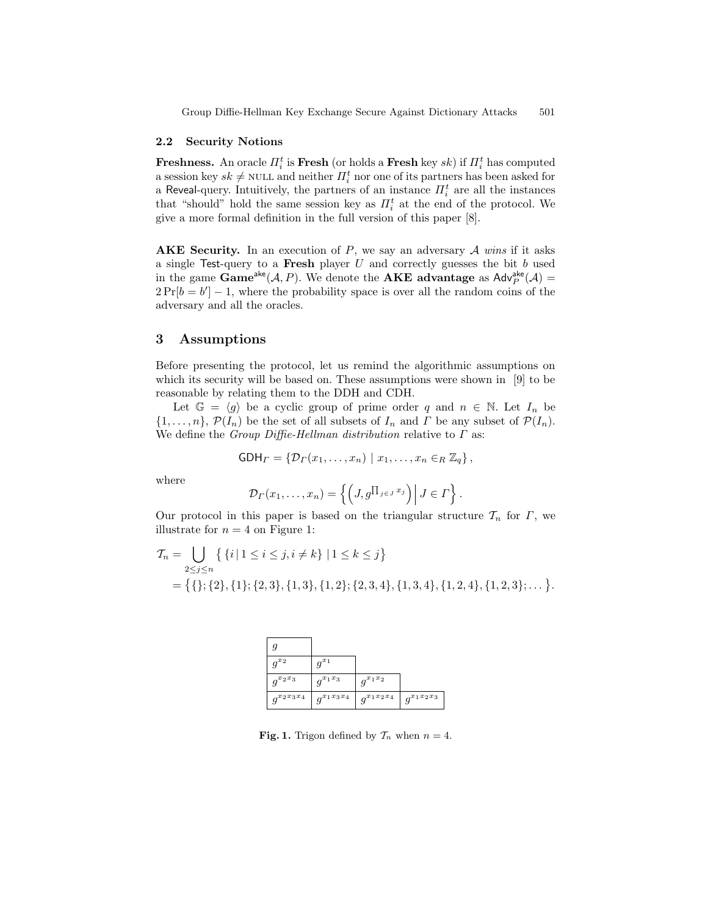#### 2.2 Security Notions

Freshness. An oracle  $\Pi_i^t$  is Fresh (or holds a Fresh key  $sk$ ) if  $\Pi_i^t$  has computed a session key  $sk \neq \text{NULL}$  and neither  $\prod_{i=1}^{t}$  nor one of its partners has been asked for a Reveal-query. Intuitively, the partners of an instance  $\Pi_i^t$  are all the instances that "should" hold the same session key as  $\Pi_i^t$  at the end of the protocol. We give a more formal definition in the full version of this paper [8].

AKE Security. In an execution of  $P$ , we say an adversary  $A$  wins if it asks a single Test-query to a Fresh player  $U$  and correctly guesses the bit  $b$  used in the game  $\text{Game}^{\text{ake}}(\mathcal{A}, P)$ . We denote the **AKE** advantage as  $\text{Adv}_{P}^{\text{ake}}(\mathcal{A}) =$  $2Pr[b = b'] - 1$ , where the probability space is over all the random coins of the adversary and all the oracles.

## 3 Assumptions

Before presenting the protocol, let us remind the algorithmic assumptions on which its security will be based on. These assumptions were shown in [9] to be reasonable by relating them to the DDH and CDH.

Let  $\mathbb{G} = \langle g \rangle$  be a cyclic group of prime order q and  $n \in \mathbb{N}$ . Let  $I_n$  be  $\{1,\ldots,n\},\,\mathcal{P}(I_n)$  be the set of all subsets of  $I_n$  and  $\Gamma$  be any subset of  $\mathcal{P}(I_n)$ . We define the *Group Diffie-Hellman distribution* relative to  $\Gamma$  as:

$$
GDH_{\Gamma} = \{ \mathcal{D}_{\Gamma}(x_1, \ldots, x_n) \mid x_1, \ldots, x_n \in_R \mathbb{Z}_q \},
$$

where

$$
\mathcal{D}_{\Gamma}(x_1,\ldots,x_n)=\left\{\left(J,g^{\prod_{j\in J}x_j}\right)\middle| J\in\Gamma\right\}.
$$

Our protocol in this paper is based on the triangular structure  $\mathcal{T}_n$  for  $\Gamma$ , we illustrate for  $n = 4$  on Figure 1:

$$
T_n = \bigcup_{2 \leq j \leq n} \left\{ \{i \mid 1 \leq i \leq j, i \neq k \} \mid 1 \leq k \leq j \right\}
$$
  
= 
$$
\left\{ \{\}; \{2\}, \{1\}; \{2,3\}, \{1,3\}, \{1,2\}; \{2,3,4\}, \{1,3,4\}, \{1,2,4\}, \{1,2,3\}; \dots \right\}.
$$

| g               |                 |                 |                            |
|-----------------|-----------------|-----------------|----------------------------|
| $q^{x_2}$       | $q^{x_1}$       |                 |                            |
| $g^{x_2x_3}$    | $q^{x_1x_3}$    | $q^{x_1x_2}$    |                            |
| $g^{x_2x_3x_4}$ | $q^{x_1x_3x_4}$ | $q^{x_1x_2x_4}$ | $q^{x_1x_2\overline{x_3}}$ |

**Fig. 1.** Trigon defined by  $\mathcal{T}_n$  when  $n = 4$ .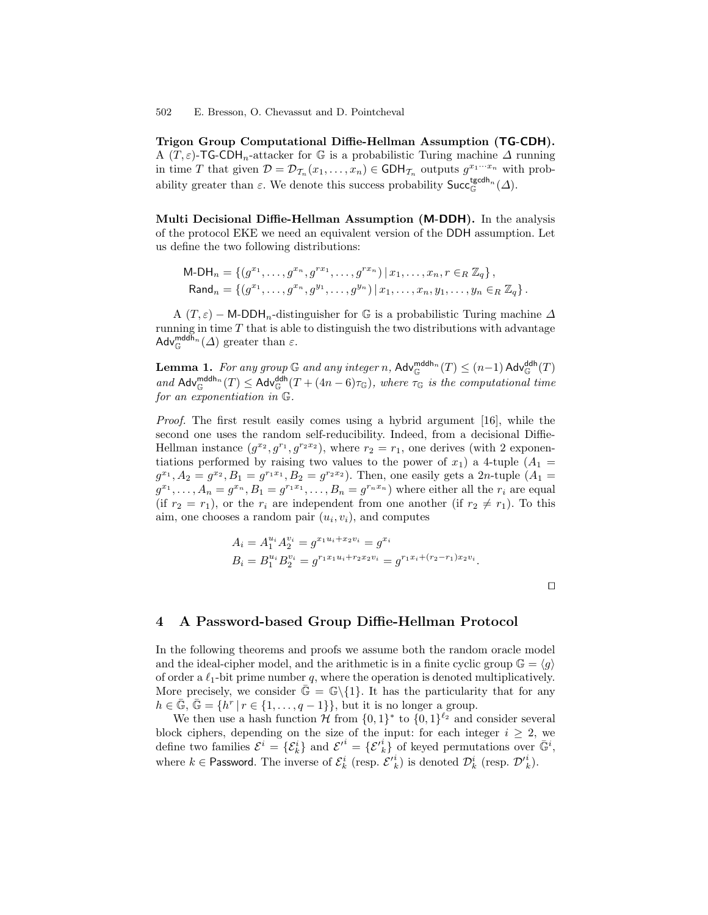Trigon Group Computational Diffie-Hellman Assumption (TG-CDH). A  $(T, \varepsilon)$ -TG-CDH<sub>n</sub>-attacker for G is a probabilistic Turing machine  $\Delta$  running in time T that given  $\mathcal{D} = \mathcal{D}_{\mathcal{T}_n}(x_1,\ldots,x_n) \in \mathsf{GDH}_{\mathcal{T}_n}$  outputs  $g^{x_1\cdots x_n}$  with probability greater than  $\varepsilon$ . We denote this success probability  $\mathsf{Succ}^{\mathsf{tgcdh}_n}_{\mathbb{G}}(\Delta)$ .

Multi Decisional Diffie-Hellman Assumption (M-DDH). In the analysis of the protocol EKE we need an equivalent version of the DDH assumption. Let us define the two following distributions:

$$
\mathsf{M}\text{-}\mathsf{DH}_n = \{ (g^{x_1}, \dots, g^{x_n}, g^{rx_1}, \dots, g^{rx_n}) \mid x_1, \dots, x_n, r \in_R \mathbb{Z}_q \},
$$
  
\n
$$
\mathsf{Rand}_n = \{ (g^{x_1}, \dots, g^{x_n}, g^{y_1}, \dots, g^{y_n}) \mid x_1, \dots, x_n, y_1, \dots, y_n \in_R \mathbb{Z}_q \}.
$$

A  $(T, \varepsilon)$  – M-DDH<sub>n</sub>-distinguisher for G is a probabilistic Turing machine  $\Delta$ running in time  $T$  that is able to distinguish the two distributions with advantage  $\mathsf{Adv}_{\mathbb{G}}^{\mathsf{mddh}_n}(\Delta)$  greater than  $\varepsilon$ .

**Lemma 1.** For any group  $\mathbb G$  and any integer n,  $\mathsf{Adv}_{\mathbb G}^{\mathsf{addh}_n}(T) \leq (n-1)\mathsf{Adv}_{\mathbb G}^{\mathsf{ddh}}(T)$ and  $\text{Adv}_{\mathbb{G}}^{\text{mddh}_n}(T) \leq \text{Adv}_{\mathbb{G}}^{\text{ddh}}(T + (4n-6)\tau_{\mathbb{G}})$ , where  $\tau_{\mathbb{G}}$  is the computational time for an exponentiation in G.

Proof. The first result easily comes using a hybrid argument [16], while the second one uses the random self-reducibility. Indeed, from a decisional Diffie-Hellman instance  $(g^{x_2}, g^{r_1}, g^{r_2x_2})$ , where  $r_2 = r_1$ , one derives (with 2 exponentiations performed by raising two values to the power of  $x_1$ ) a 4-tuple  $(A_1 =$  $g^{x_1}, A_2 = g^{x_2}, B_1 = g^{r_1x_1}, B_2 = g^{r_2x_2}$ ). Then, one easily gets a 2*n*-tuple  $(A_1 =$  $g^{x_1}, \ldots, A_n = g^{x_n}, B_1 = g^{r_1 x_1}, \ldots, B_n = g^{r_n x_n}$  where either all the  $r_i$  are equal (if  $r_2 = r_1$ ), or the  $r_i$  are independent from one another (if  $r_2 \neq r_1$ ). To this aim, one chooses a random pair  $(u_i, v_i)$ , and computes

$$
A_i = A_1^{u_i} A_2^{v_i} = g^{x_1 u_i + x_2 v_i} = g^{x_i}
$$
  
\n
$$
B_i = B_1^{u_i} B_2^{v_i} = g^{r_1 x_1 u_i + r_2 x_2 v_i} = g^{r_1 x_i + (r_2 - r_1) x_2 v_i}.
$$

 $\Box$ 

#### 4 A Password-based Group Diffie-Hellman Protocol

In the following theorems and proofs we assume both the random oracle model and the ideal-cipher model, and the arithmetic is in a finite cyclic group  $\mathbb{G} = \langle q \rangle$ of order a  $\ell_1$ -bit prime number q, where the operation is denoted multiplicatively. More precisely, we consider  $\bar{\mathbb{G}} = \mathbb{G}\backslash \{1\}$ . It has the particularity that for any  $h \in \bar{\mathbb{G}}, \bar{\mathbb{G}} = \{h^r | r \in \{1, \ldots, q-1\}\},\$  but it is no longer a group.

We then use a hash function  $\mathcal H$  from  $\{0,1\}^*$  to  $\{0,1\}^{\ell_2}$  and consider several block ciphers, depending on the size of the input: for each integer  $i \geq 2$ , we define two families  $\mathcal{E}^i = {\{\mathcal{E}_k^i\}}$  and  $\mathcal{E'}^i = {\{\mathcal{E'}_k^i\}}$  of keyed permutations over  $\bar{\mathbb{G}}^i$ , where  $k \in \mathsf{Password}$ . The inverse of  $\mathcal{E}_k^i$  (resp.  $\mathcal{E'}_k^i$ ) is denoted  $\mathcal{D}_k^i$  (resp.  $\mathcal{D'}_k^i$ ).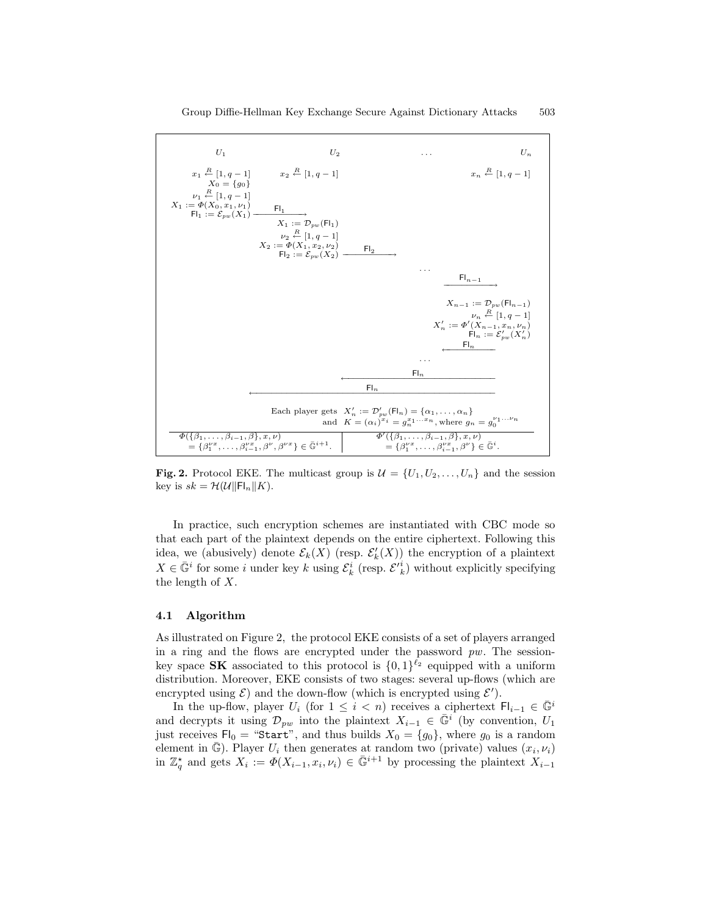

Fig. 2. Protocol EKE. The multicast group is  $\mathcal{U} = \{U_1, U_2, \ldots, U_n\}$  and the session key is  $sk = \mathcal{H}(\mathcal{U} \|\mathsf{Fl}_n \| K)$ .

In practice, such encryption schemes are instantiated with CBC mode so that each part of the plaintext depends on the entire ciphertext. Following this idea, we (abusively) denote  $\mathcal{E}_k(X)$  (resp.  $\mathcal{E}'_k(X)$ ) the encryption of a plaintext  $X \in \bar{\mathbb{G}}^i$  for some *i* under key k using  $\mathcal{E}_k^i$  (resp.  $\mathcal{E'}_k^i$ ) without explicitly specifying the length of X.

#### 4.1 Algorithm

As illustrated on Figure 2, the protocol EKE consists of a set of players arranged in a ring and the flows are encrypted under the password  $pw$ . The sessionkey space **SK** associated to this protocol is  $\{0,1\}^{\ell_2}$  equipped with a uniform distribution. Moreover, EKE consists of two stages: several up-flows (which are encrypted using  $\mathcal{E}$ ) and the down-flow (which is encrypted using  $\mathcal{E}'$ ).

In the up-flow, player  $U_i$  (for  $1 \leq i < n$ ) receives a ciphertext  $\mathsf{Fl}_{i-1} \in \bar{\mathbb{G}}^i$ and decrypts it using  $\mathcal{D}_{pw}$  into the plaintext  $X_{i-1} \in \bar{\mathbb{G}}^i$  (by convention,  $U_1$ just receives  $Fl_0 = "Start",$  and thus builds  $X_0 = \{g_0\}$ , where  $g_0$  is a random element in  $\bar{\mathbb{G}}$ ). Player  $U_i$  then generates at random two (private) values  $(x_i, \nu_i)$ in  $\mathbb{Z}_q^*$  and gets  $X_i := \Phi(X_{i-1}, x_i, \nu_i) \in \bar{\mathbb{G}}^{i+1}$  by processing the plaintext  $X_{i-1}$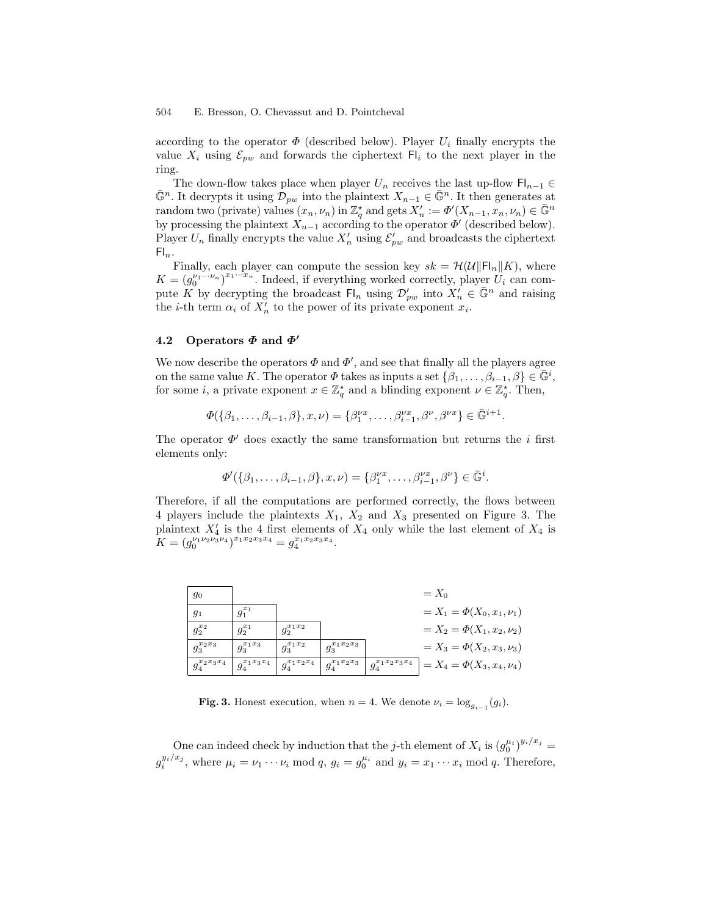according to the operator  $\Phi$  (described below). Player  $U_i$  finally encrypts the value  $X_i$  using  $\mathcal{E}_{pw}$  and forwards the ciphertext  $\mathsf{Fl}_i$  to the next player in the ring.

The down-flow takes place when player  $U_n$  receives the last up-flow  $\mathsf{Fl}_{n-1} \in$  $\bar{\mathbb{G}}^n$ . It decrypts it using  $\mathcal{D}_{pw}$  into the plaintext  $X_{n-1} \in \bar{\mathbb{G}}^n$ . It then generates at random two (private) values  $(x_n, \nu_n)$  in  $\mathbb{Z}_q^*$  and gets  $X'_n := \Phi'(X_{n-1}, x_n, \nu_n) \in \bar{\mathbb{G}}^n$ by processing the plaintext  $X_{n-1}$  according to the operator  $\Phi'$  (described below). Player  $U_n$  finally encrypts the value  $X'_n$  using  $\mathcal{E}'_{pw}$  and broadcasts the ciphertext  $\mathsf{Fl}_n$ .

Finally, each player can compute the session key  $sk = \mathcal{H}(\mathcal{U}||\mathsf{FI}_n||K)$ , where  $K = (g_0^{\nu_1 \cdots \nu_n})^{x_1 \cdots x_n}$ . Indeed, if everything worked correctly, player  $U_i$  can compute K by decrypting the broadcast  $\mathsf{Fl}_n$  using  $\mathcal{D}'_{pw}$  into  $X'_n \in \bar{\mathbb{G}}^n$  and raising the *i*-th term  $\alpha_i$  of  $X'_n$  to the power of its private exponent  $x_i$ .

#### 4.2 Operators  $\Phi$  and  $\Phi'$

We now describe the operators  $\Phi$  and  $\Phi'$ , and see that finally all the players agree on the same value K. The operator  $\Phi$  takes as inputs a set  $\{\beta_1, \ldots, \beta_{i-1}, \beta\} \in \overline{\mathbb{G}}^i$ , for some *i*, a private exponent  $x \in \mathbb{Z}_q^*$  and a blinding exponent  $\nu \in \mathbb{Z}_q^*$ . Then,

$$
\Phi(\{\beta_1,\ldots,\beta_{i-1},\beta\},x,\nu)=\{\beta_1^{\nu x},\ldots,\beta_{i-1}^{\nu x},\beta^{\nu},\beta^{\nu x}\}\in\bar{\mathbb{G}}^{i+1}.
$$

The operator  $\Phi'$  does exactly the same transformation but returns the *i* first elements only:

$$
\Phi'(\{\beta_1,\ldots,\beta_{i-1},\beta\},x,\nu)=\{\beta_1^{\nu x},\ldots,\beta_{i-1}^{\nu x},\beta^{\nu}\}\in\bar{\mathbb{G}}^i.
$$

Therefore, if all the computations are performed correctly, the flows between 4 players include the plaintexts  $X_1$ ,  $X_2$  and  $X_3$  presented on Figure 3. The plaintext  $X'_4$  is the 4 first elements of  $X_4$  only while the last element of  $X_4$  is  $K = (g_0^{\nu_1 \nu_2 \nu_3 \nu_4})^{x_1 x_2 x_3 x_4} = g_4^{x_1 x_2 x_3 x_4}.$ 

| 90                |                   |                   |                   |                                | $=X_0$                          |
|-------------------|-------------------|-------------------|-------------------|--------------------------------|---------------------------------|
| 91                | $g_1^{x_1}$       |                   |                   |                                | $= X_1 = \Phi(X_0, x_1, \nu_1)$ |
| $g_2^{x_2}$       | $g_2^{x_1}$       | $g_2^{x_1x_2}$    |                   |                                | $= X_2 = \Phi(X_1, x_2, \nu_2)$ |
| $g_3^{x_2x_3}$    | $g_3^{x_1x_3}$    | $g_3^{x_1x_2}$    | $g_3^{x_1x_2x_3}$ |                                | $= X_3 = \Phi(X_2, x_3, \nu_3)$ |
| $g_4^{x_2x_3x_4}$ | $q_4^{x_1x_3x_4}$ | $g_4^{x_1x_2x_4}$ | $g_4^{x_1x_2x_3}$ | $g_{4}^{x_{1}x_{2}x_{3}x_{4}}$ | $= X_4 = \Phi(X_3, x_4, \nu_4)$ |

Fig. 3. Honest execution, when  $n = 4$ . We denote  $\nu_i = \log_{g_{i-1}}(g_i)$ .

One can indeed check by induction that the j-th element of  $X_i$  is  $(g_0^{\mu_i})^{y_i/x_j} =$  $g_i^{y_i/x_j}$ , where  $\mu_i = \nu_1 \cdots \nu_i \mod q$ ,  $g_i = g_0^{\mu_i}$  and  $y_i = x_1 \cdots x_i \mod q$ . Therefore,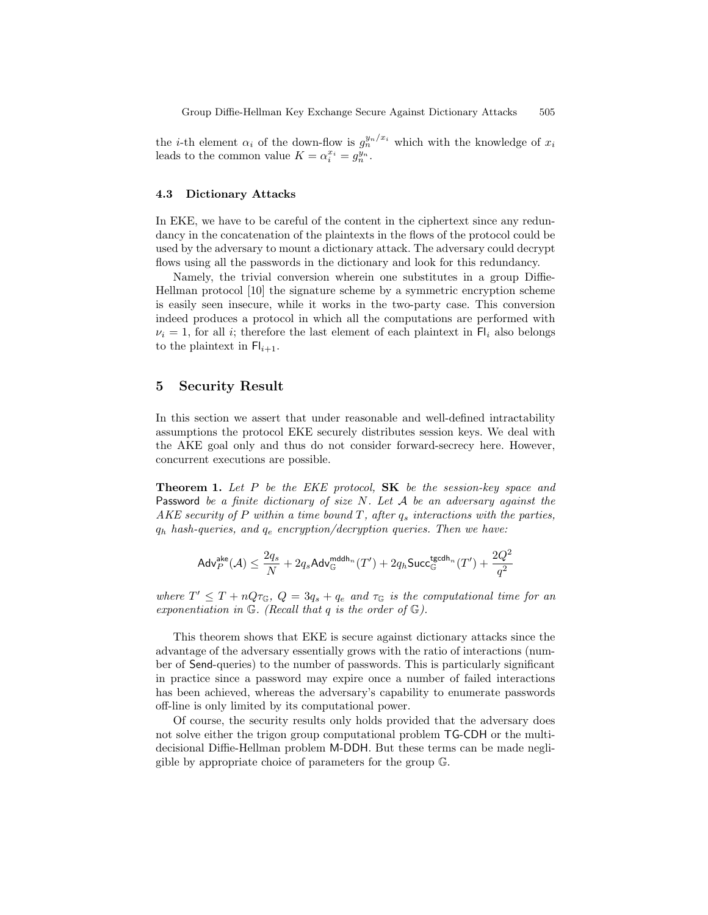the *i*-th element  $\alpha_i$  of the down-flow is  $g_n^{y_n/x_i}$  which with the knowledge of  $x_i$ leads to the common value  $K = \alpha_i^{x_i} = g_n^{y_n}$ .

#### 4.3 Dictionary Attacks

In EKE, we have to be careful of the content in the ciphertext since any redundancy in the concatenation of the plaintexts in the flows of the protocol could be used by the adversary to mount a dictionary attack. The adversary could decrypt flows using all the passwords in the dictionary and look for this redundancy.

Namely, the trivial conversion wherein one substitutes in a group Diffie-Hellman protocol [10] the signature scheme by a symmetric encryption scheme is easily seen insecure, while it works in the two-party case. This conversion indeed produces a protocol in which all the computations are performed with  $\nu_i = 1$ , for all *i*; therefore the last element of each plaintext in Fl<sub>i</sub> also belongs to the plaintext in  $\mathsf{FI}_{i+1}$ .

## 5 Security Result

In this section we assert that under reasonable and well-defined intractability assumptions the protocol EKE securely distributes session keys. We deal with the AKE goal only and thus do not consider forward-secrecy here. However, concurrent executions are possible.

**Theorem 1.** Let P be the EKE protocol,  $SK$  be the session-key space and Password be a finite dictionary of size  $N$ . Let  $A$  be an adversary against the AKE security of P within a time bound T, after  $q_s$  interactions with the parties,  $q_h$  hash-queries, and  $q_e$  encryption/decryption queries. Then we have:

$$
\mathsf{Adv}^{\mathsf{ake}}_P(\mathcal{A}) \leq \frac{2q_s}{N} + 2q_s\mathsf{Adv}^{\mathsf{mddh}_n}_\mathbb{G}(T') + 2q_h\mathsf{Succ}^{\mathsf{tgcdh}_n}_\mathbb{G}(T') + \frac{2Q^2}{q^2}
$$

where  $T' \leq T + nQ\tau_{\mathbb{G}}$ ,  $Q = 3q_s + q_e$  and  $\tau_{\mathbb{G}}$  is the computational time for an exponentiation in  $\mathbb{G}$ . (Recall that q is the order of  $\mathbb{G}$ ).

This theorem shows that EKE is secure against dictionary attacks since the advantage of the adversary essentially grows with the ratio of interactions (number of Send-queries) to the number of passwords. This is particularly significant in practice since a password may expire once a number of failed interactions has been achieved, whereas the adversary's capability to enumerate passwords off-line is only limited by its computational power.

Of course, the security results only holds provided that the adversary does not solve either the trigon group computational problem TG-CDH or the multidecisional Diffie-Hellman problem M-DDH. But these terms can be made negligible by appropriate choice of parameters for the group G.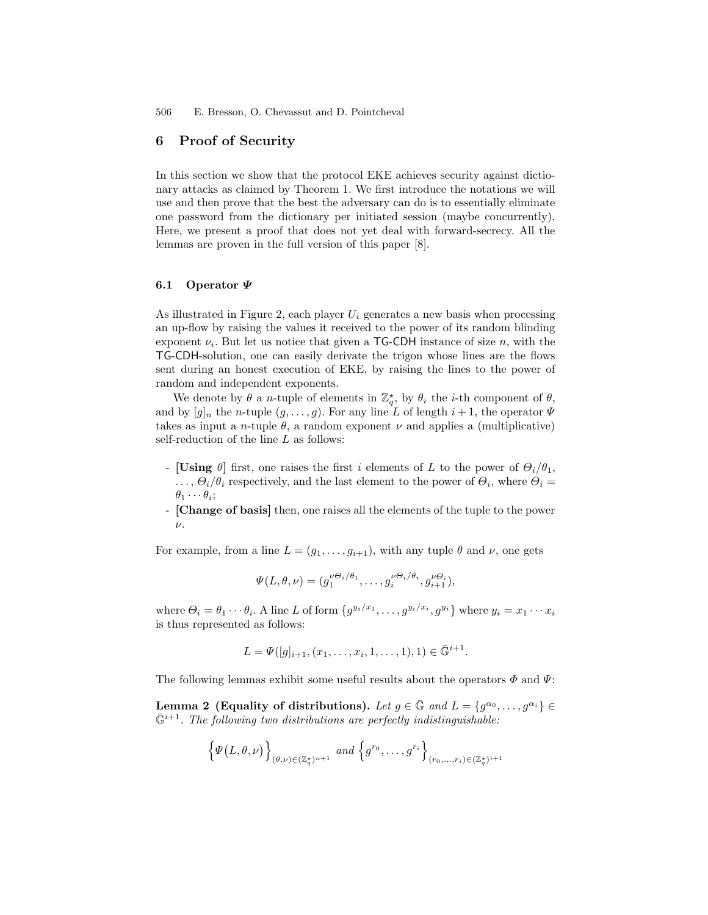## 6 Proof of Security

In this section we show that the protocol EKE achieves security against dictionary attacks as claimed by Theorem 1. We first introduce the notations we will use and then prove that the best the adversary can do is to essentially eliminate one password from the dictionary per initiated session (maybe concurrently). Here, we present a proof that does not yet deal with forward-secrecy. All the lemmas are proven in the full version of this paper [8].

#### 6.1 Operator Ψ

As illustrated in Figure 2, each player  $U_i$  generates a new basis when processing an up-flow by raising the values it received to the power of its random blinding exponent  $\nu_i$ . But let us notice that given a TG-CDH instance of size n, with the TG-CDH-solution, one can easily derivate the trigon whose lines are the flows sent during an honest execution of EKE, by raising the lines to the power of random and independent exponents.

We denote by  $\theta$  a *n*-tuple of elements in  $\mathbb{Z}_q^*$ , by  $\theta_i$  the *i*-th component of  $\theta$ , and by  $[g]_n$  the *n*-tuple  $(g, \ldots, g)$ . For any line L of length  $i + 1$ , the operator  $\Psi$ takes as input a *n*-tuple  $\theta$ , a random exponent  $\nu$  and applies a (multiplicative) self-reduction of the line L as follows:

- [Using  $\theta$ ] first, one raises the first i elements of L to the power of  $\Theta_i/\theta_1$ ,  $\ldots, \Theta_i/\theta_i$  respectively, and the last element to the power of  $\Theta_i$ , where  $\Theta_i =$  $\theta_1\cdots\theta_i;$
- [Change of basis] then, one raises all the elements of the tuple to the power  $\nu$ .

For example, from a line  $L = (g_1, \ldots, g_{i+1})$ , with any tuple  $\theta$  and  $\nu$ , one gets

$$
\Psi(L,\theta,\nu)=(g_1^{\nu\Theta_i/\theta_1},\ldots,g_i^{\nu\Theta_i/\theta_i},g_{i+1}^{\nu\Theta_i}),
$$

where  $\Theta_i = \theta_1 \cdots \theta_i$ . A line L of form  $\{g^{y_i/x_1}, \ldots, g^{y_i/x_i}, g^{y_i}\}$  where  $y_i = x_1 \cdots x_i$ is thus represented as follows:

$$
L = \Psi([g]_{i+1}, (x_1, \ldots, x_i, 1, \ldots, 1), 1) \in \bar{\mathbb{G}}^{i+1}.
$$

The following lemmas exhibit some useful results about the operators  $\Phi$  and  $\Psi$ :

Lemma 2 (Equality of distributions). Let  $g \in \bar{\mathbb{G}}$  and  $L = \{g^{\alpha_0}, \ldots, g^{\alpha_i}\} \in$  $\bar{\mathbb{G}}^{i+1}$ . The following two distributions are perfectly indistinguishable:

$$
\left\{\Psi(L,\theta,\nu)\right\}_{(\theta,\nu)\in(\mathbb{Z}_q^\star)^{n+1}}\text{ and }\left\{g^{r_0},\ldots,g^{r_i}\right\}_{(r_0,\ldots,r_i)\in(\mathbb{Z}_q^\star)^{i+1}}
$$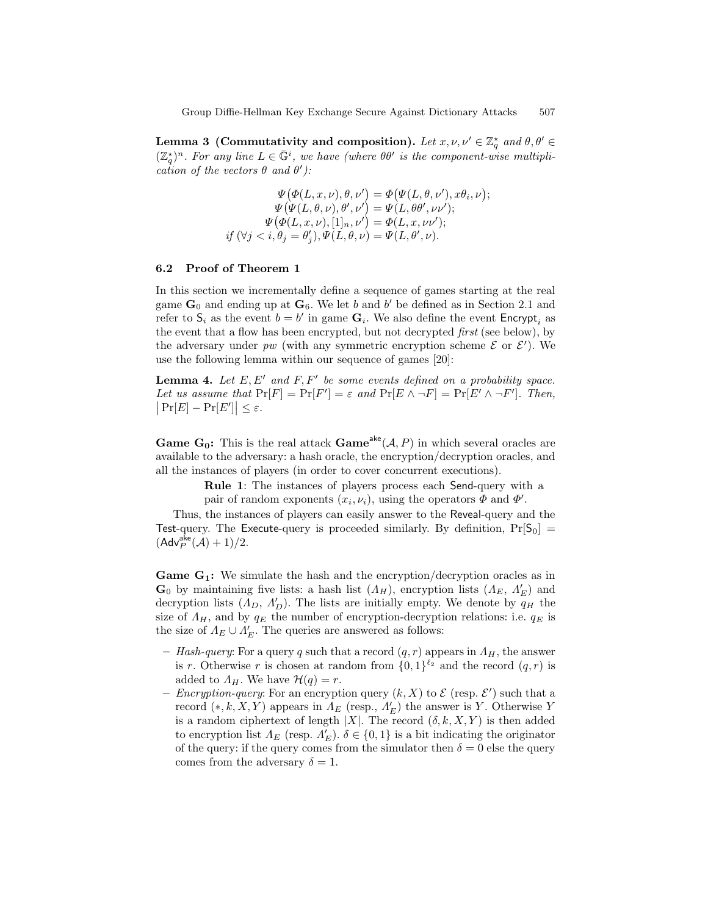Lemma 3 (Commutativity and composition). Let  $x, \nu, \nu' \in \mathbb{Z}_q^{\star}$  and  $\theta, \theta' \in$  $(\mathbb{Z}_q^{\star})^n$ . For any line  $L \in \bar{\mathbb{G}}^i$ , we have (where  $\theta\theta'$  is the component-wise multiplication of the vectors  $\theta$  and  $\theta'$ ):

$$
\Psi(\Phi(L, x, \nu), \theta, \nu') = \Phi(\Psi(L, \theta, \nu'), x\theta_i, \nu);
$$
  
\n
$$
\Psi(\Psi(L, \theta, \nu), \theta', \nu') = \Psi(L, \theta\theta', \nu\nu');
$$
  
\n
$$
\Psi(\Phi(L, x, \nu), [1]_n, \nu') = \Phi(L, x, \nu\nu');
$$
  
\nif  $(\forall j < i, \theta_j = \theta'_j), \Psi(L, \theta, \nu) = \Psi(L, \theta', \nu).$ 

#### 6.2 Proof of Theorem 1

In this section we incrementally define a sequence of games starting at the real game  $\mathbf{G}_0$  and ending up at  $\mathbf{G}_6$ . We let b and b' be defined as in Section 2.1 and refer to  $S_i$  as the event  $b = b'$  in game  $G_i$ . We also define the event  $\mathsf{Encrypt}_i$  as the event that a flow has been encrypted, but not decrypted first (see below), by the adversary under pw (with any symmetric encryption scheme  $\mathcal E$  or  $\mathcal E'$ ). We use the following lemma within our sequence of games [20]:

**Lemma 4.** Let  $E, E'$  and  $F, F'$  be some events defined on a probability space. Let us assume that  $Pr[F] = Pr[F'] = \varepsilon$  and  $Pr[E \wedge \neg F] = Pr[E' \wedge \neg F']$ . Then,  $|\Pr[E] - \Pr[E']| \leq \varepsilon.$ 

**Game G<sub>0</sub>:** This is the real attack **Game**<sup>ake</sup> $(A, P)$  in which several oracles are available to the adversary: a hash oracle, the encryption/decryption oracles, and all the instances of players (in order to cover concurrent executions).

> Rule 1: The instances of players process each Send-query with a pair of random exponents  $(x_i, \nu_i)$ , using the operators  $\Phi$  and  $\Phi'$ .

Thus, the instances of players can easily answer to the Reveal-query and the Test-query. The Execute-query is proceeded similarly. By definition,  $Pr[S_0]$  =  $(\mathsf{Adv}^{\mathsf{ake}}_P(\mathcal{A}) + 1)/2.$ 

**Game**  $G_1$ **:** We simulate the hash and the encryption/decryption oracles as in  $\mathbf{G}_0$  by maintaining five lists: a hash list  $(A_H)$ , encryption lists  $(A_E, A'_E)$  and decryption lists  $(\Lambda_D, \Lambda_D')$ . The lists are initially empty. We denote by  $q_H$  the size of  $A_H$ , and by  $q_E$  the number of encryption-decryption relations: i.e.  $q_E$  is the size of  $\Lambda_E \cup \Lambda'_E$ . The queries are answered as follows:

- Hash-query: For a query q such that a record  $(q, r)$  appears in  $\Lambda_H$ , the answer is r. Otherwise r is chosen at random from  $\{0,1\}^{\ell_2}$  and the record  $(q,r)$  is added to  $\Lambda_H$ . We have  $\mathcal{H}(q) = r$ .
- *Encryption-query*: For an encryption query  $(k, X)$  to  $\mathcal{E}$  (resp.  $\mathcal{E}'$ ) such that a record  $(*, k, X, Y)$  appears in  $\Lambda_E$  (resp.,  $\Lambda'_E$ ) the answer is Y. Otherwise Y is a random ciphertext of length |X|. The record  $(\delta, k, X, Y)$  is then added to encryption list  $\Lambda_E$  (resp.  $\Lambda_E'$ ).  $\delta \in \{0,1\}$  is a bit indicating the originator of the query: if the query comes from the simulator then  $\delta = 0$  else the query comes from the adversary  $\delta = 1$ .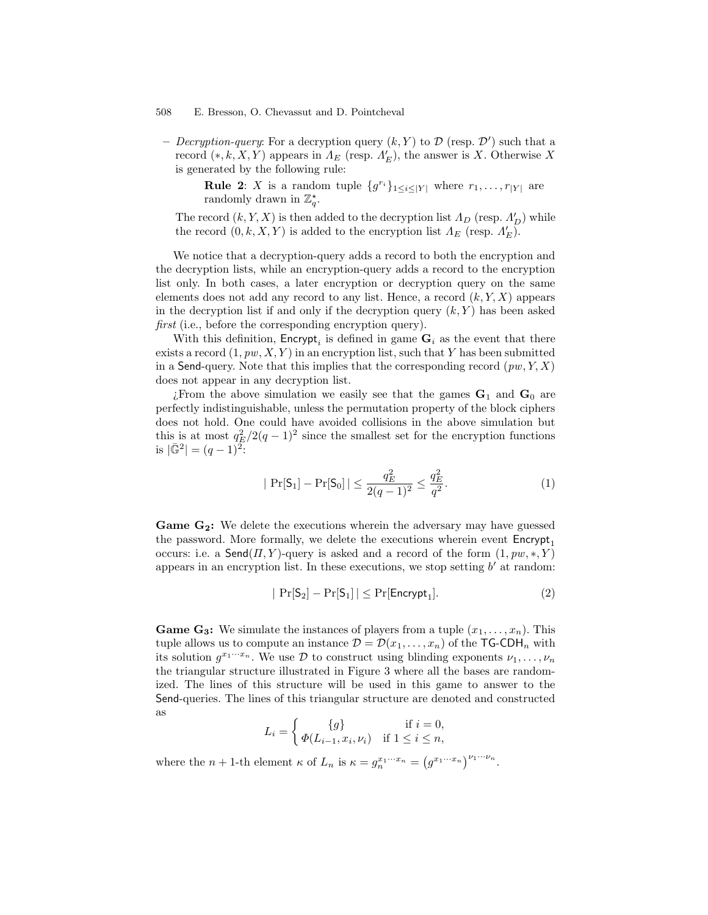- Decryption-query: For a decryption query  $(k, Y)$  to  $\mathcal{D}$  (resp.  $\mathcal{D}'$ ) such that a record  $(*, k, X, Y)$  appears in  $\Lambda_E$  (resp.  $\Lambda'_E$ ), the answer is X. Otherwise X is generated by the following rule:

**Rule 2:** X is a random tuple  $\{g^{r_i}\}_{1 \leq i \leq |Y|}$  where  $r_1, \ldots, r_{|Y|}$  are randomly drawn in  $\mathbb{Z}_q^*$ .

The record  $(k, Y, X)$  is then added to the decryption list  $\Lambda_D$  (resp.  $\Lambda_D'$ ) while the record  $(0, k, X, Y)$  is added to the encryption list  $\Lambda_E$  (resp.  $\Lambda'_E$ ).

We notice that a decryption-query adds a record to both the encryption and the decryption lists, while an encryption-query adds a record to the encryption list only. In both cases, a later encryption or decryption query on the same elements does not add any record to any list. Hence, a record  $(k, Y, X)$  appears in the decryption list if and only if the decryption query  $(k, Y)$  has been asked first (i.e., before the corresponding encryption query).

With this definition,  $\mathsf{Encrypt}_i$  is defined in game  $\mathbf{G}_i$  as the event that there exists a record  $(1, pw, X, Y)$  in an encryption list, such that Y has been submitted in a Send-query. Note that this implies that the corresponding record  $(pw, Y, X)$ does not appear in any decryption list.

¿From the above simulation we easily see that the games  $G_1$  and  $G_0$  are perfectly indistinguishable, unless the permutation property of the block ciphers does not hold. One could have avoided collisions in the above simulation but this is at most  $q_E^2/2(q-1)^2$  since the smallest set for the encryption functions is  $|\bar{\mathbb{G}}^2| = (q-1)^2$ :

$$
|\Pr[\mathsf{S}_1] - \Pr[\mathsf{S}_0]| \le \frac{q_E^2}{2(q-1)^2} \le \frac{q_E^2}{q^2}.\tag{1}
$$

Game G<sub>2</sub>: We delete the executions wherein the adversary may have guessed the password. More formally, we delete the executions wherein event  $\mathsf{Encrypt}_1$ occurs: i.e. a  $\mathsf{Send}(H, Y)$ -query is asked and a record of the form  $(1, pw, *, Y)$ appears in an encryption list. In these executions, we stop setting  $b'$  at random:

$$
|\Pr[S_2] - \Pr[S_1]| \le \Pr[\mathsf{Encrypt}_1].\tag{2}
$$

**Game G<sub>3</sub>:** We simulate the instances of players from a tuple  $(x_1, \ldots, x_n)$ . This tuple allows us to compute an instance  $\mathcal{D} = \mathcal{D}(x_1, \ldots, x_n)$  of the TG-CDH<sub>n</sub> with its solution  $g^{x_1 \cdots x_n}$ . We use  $\mathcal D$  to construct using blinding exponents  $\nu_1, \ldots, \nu_n$ the triangular structure illustrated in Figure 3 where all the bases are randomized. The lines of this structure will be used in this game to answer to the Send-queries. The lines of this triangular structure are denoted and constructed as

$$
L_i = \begin{cases} \{g\} & \text{if } i = 0, \\ \varPhi(L_{i-1}, x_i, \nu_i) & \text{if } 1 \leq i \leq n, \end{cases}
$$

where the  $n + 1$ -th element  $\kappa$  of  $L_n$  is  $\kappa = g_n^{x_1 \cdots x_n} = (g^{x_1 \cdots x_n})^{\nu_1 \cdots \nu_n}$ .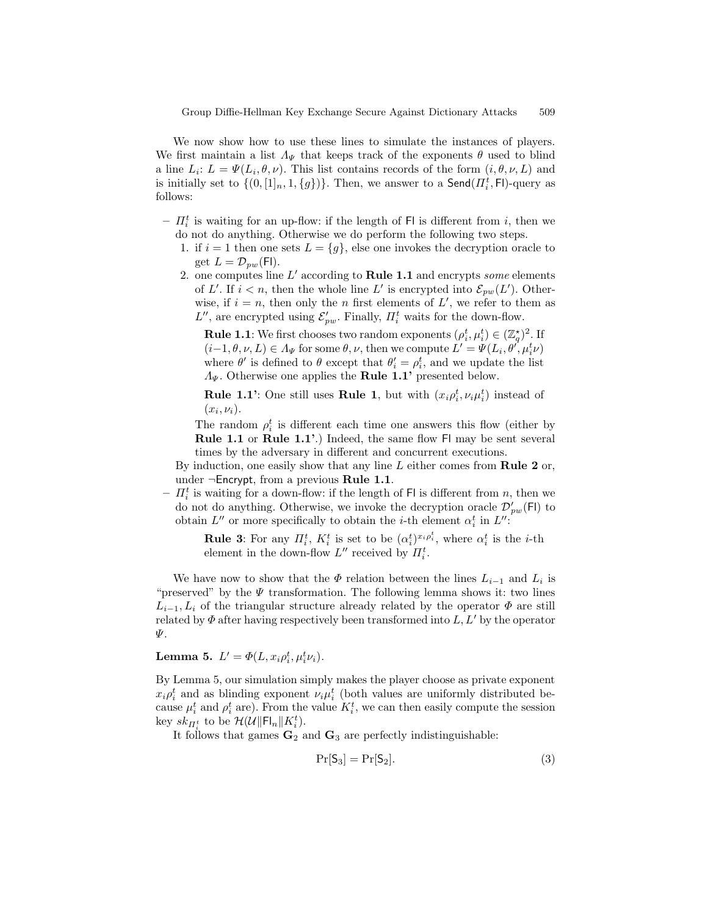We now show how to use these lines to simulate the instances of players. We first maintain a list  $\Lambda_{\Psi}$  that keeps track of the exponents  $\theta$  used to blind a line  $L_i: L = \Psi(L_i, \theta, \nu)$ . This list contains records of the form  $(i, \theta, \nu, L)$  and is initially set to  $\{(0, [1]_n, 1, \{g\})\}$ . Then, we answer to a  $\mathsf{Send}(H_i^t, \mathsf{Fl})$ -query as follows:

- $-I_i^t$  is waiting for an up-flow: if the length of Fl is different from i, then we do not do anything. Otherwise we do perform the following two steps.
	- 1. if  $i = 1$  then one sets  $L = \{g\}$ , else one invokes the decryption oracle to get  $L = \mathcal{D}_{pw}(\mathsf{Fl}).$
	- 2. one computes line  $L'$  according to Rule 1.1 and encrypts some elements of L'. If  $i < n$ , then the whole line L' is encrypted into  $\mathcal{E}_{pw}(L')$ . Otherwise, if  $i = n$ , then only the *n* first elements of L', we refer to them as  $L''$ , are encrypted using  $\mathcal{E}'_{pw}$ . Finally,  $\prod_i^t$  waits for the down-flow.

**Rule 1.1**: We first chooses two random exponents  $(\rho_i^t, \mu_i^t) \in (\mathbb{Z}_q^{\star})^2$ . If  $(i-1, \theta, \nu, L) \in \Lambda_{\Psi}$  for some  $\theta, \nu$ , then we compute  $L' = \Psi(L_i, \theta', \mu_i^t \nu)$ where  $\theta'$  is defined to  $\theta$  except that  $\theta'_{i} = \rho_{i}^{t}$ , and we update the list  $\Lambda_{\Psi}$ . Otherwise one applies the **Rule 1.1'** presented below.

**Rule 1.1':** One still uses **Rule 1**, but with  $(x_i \rho_i^t, v_i \mu_i^t)$  instead of  $(x_i,\nu_i).$ 

The random  $\rho_i^t$  is different each time one answers this flow (either by Rule 1.1 or Rule 1.1'.) Indeed, the same flow Fl may be sent several times by the adversary in different and concurrent executions.

By induction, one easily show that any line  $L$  either comes from **Rule 2** or, under  $\neg$ Encrypt, from a previous Rule 1.1.

 $-I_i^t$  is waiting for a down-flow: if the length of Fl is different from n, then we do not do anything. Otherwise, we invoke the decryption oracle  $\mathcal{D}'_{pw}(\mathsf{Fl})$  to obtain  $L''$  or more specifically to obtain the *i*-th element  $\alpha_i^t$  in  $L''$ :

**Rule 3:** For any  $\Pi_i^t$ ,  $K_i^t$  is set to be  $(\alpha_i^t)^{x_i \rho_i^t}$ , where  $\alpha_i^t$  is the *i*-th element in the down-flow  $L''$  received by  $\prod_i^t$ .

We have now to show that the  $\Phi$  relation between the lines  $L_{i-1}$  and  $L_i$  is "preserved" by the  $\Psi$  transformation. The following lemma shows it: two lines  $L_{i-1}, L_i$  of the triangular structure already related by the operator  $\Phi$  are still related by  $\Phi$  after having respectively been transformed into  $L, L'$  by the operator Ψ.

**Lemma 5.**  $L' = \Phi(L, x_i \rho_i^t, \mu_i^t \nu_i)$ .

By Lemma 5, our simulation simply makes the player choose as private exponent  $x_i \rho_i^t$  and as blinding exponent  $\nu_i \mu_i^t$  (both values are uniformly distributed because  $\mu_i^t$  and  $\rho_i^t$  are). From the value  $K_i^t$ , we can then easily compute the session key  $sk_{\Pi_i^t}$  to be  $\mathcal{H}(\mathcal{U} \|\mathsf{Fl}_n \| K_i^t)$ .

It follows that games  $\mathbf{G}_2$  and  $\mathbf{G}_3$  are perfectly indistinguishable:

$$
\Pr[S_3] = \Pr[S_2].\tag{3}
$$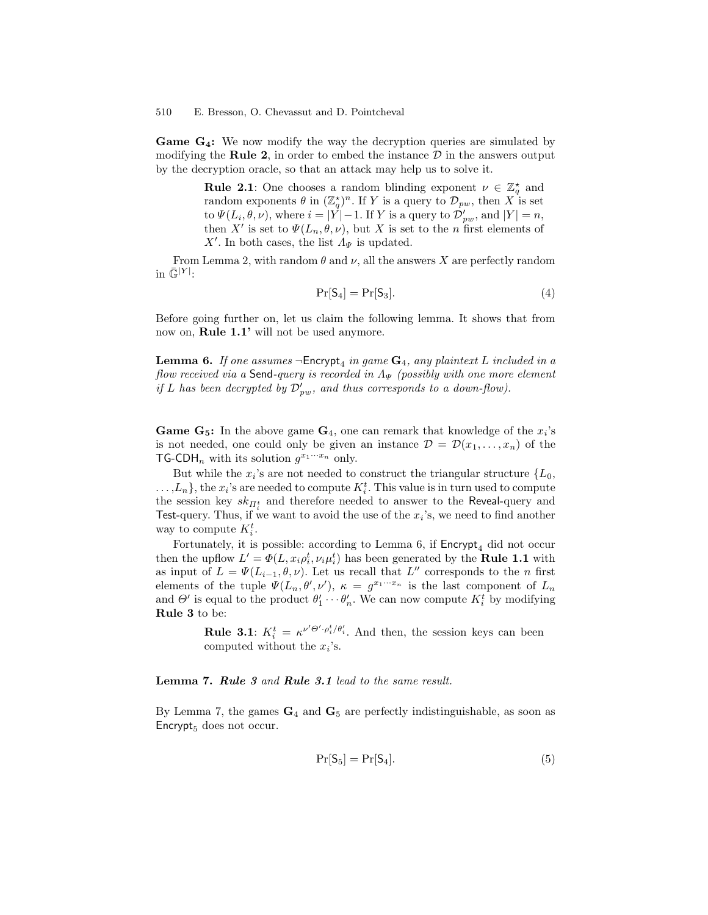**Game**  $G_4$ **:** We now modify the way the decryption queries are simulated by modifying the Rule 2, in order to embed the instance  $\mathcal D$  in the answers output by the decryption oracle, so that an attack may help us to solve it.

> **Rule 2.1**: One chooses a random blinding exponent  $\nu \in \mathbb{Z}_q^*$  and random exponents  $\theta$  in  $(\mathbb{Z}_q^*)^n$ . If Y is a query to  $\mathcal{D}_{pw}$ , then X is set to  $\Psi(L_i, \theta, \nu)$ , where  $i = |\dot{Y}| - 1$ . If Y is a query to  $\mathcal{D}_{pw}'$ , and  $|Y| = n$ , then X' is set to  $\Psi(L_n, \theta, \nu)$ , but X is set to the n first elements of X'. In both cases, the list  $\Lambda_{\Psi}$  is updated.

From Lemma 2, with random  $\theta$  and  $\nu$ , all the answers X are perfectly random in  $\bar{\mathbb{G}}^{|Y|}$ :

$$
\Pr[S_4] = \Pr[S_3].\tag{4}
$$

Before going further on, let us claim the following lemma. It shows that from now on, **Rule 1.1'** will not be used anymore.

**Lemma 6.** If one assumes  $\neg$ Encrypt<sub>4</sub> in game  $\mathbf{G}_4$ , any plaintext L included in a flow received via a Send-query is recorded in  $\Lambda_{\Psi}$  (possibly with one more element if L has been decrypted by  $\mathcal{D}_{pw}'$ , and thus corresponds to a down-flow).

**Game G<sub>5</sub>:** In the above game  $G_4$ , one can remark that knowledge of the  $x_i$ 's is not needed, one could only be given an instance  $\mathcal{D} = \mathcal{D}(x_1, \ldots, x_n)$  of the **TG-CDH**<sub>n</sub> with its solution  $g^{x_1 \cdots x_n}$  only.

But while the  $x_i$ 's are not needed to construct the triangular structure  $\{L_0,$  $\dots, L_n$ , the  $x_i$ 's are needed to compute  $K_i^t$ . This value is in turn used to compute the session key  $sk_{\Pi_i^t}$  and therefore needed to answer to the Reveal-query and Test-query. Thus, if we want to avoid the use of the  $x_i$ 's, we need to find another way to compute  $K_i^t$ .

Fortunately, it is possible: according to Lemma 6, if  $\text{Encrypt}_4$  did not occur then the upflow  $L' = \Phi(L, x_i \rho_i^t, \nu_i \mu_i^t)$  has been generated by the **Rule 1.1** with as input of  $L = \Psi(L_{i-1}, \theta, \nu)$ . Let us recall that  $L''$  corresponds to the n first elements of the tuple  $\Psi(L_n, \theta', \nu')$ ,  $\kappa = g^{x_1 \cdots x_n}$  is the last component of  $L_n$ and  $\Theta'$  is equal to the product  $\theta'_1 \cdots \theta'_n$ . We can now compute  $K_i^t$  by modifying Rule 3 to be:

> **Rule 3.1**:  $K_i^t = \kappa^{\nu' \Theta' \cdot \rho_i^t / \theta_i'}$ . And then, the session keys can been computed without the  $x_i$ 's.

Lemma 7. Rule 3 and Rule 3.1 lead to the same result.

By Lemma 7, the games  $G_4$  and  $G_5$  are perfectly indistinguishable, as soon as Encrypt $_5$  does not occur.

$$
\Pr[S_5] = \Pr[S_4].\tag{5}
$$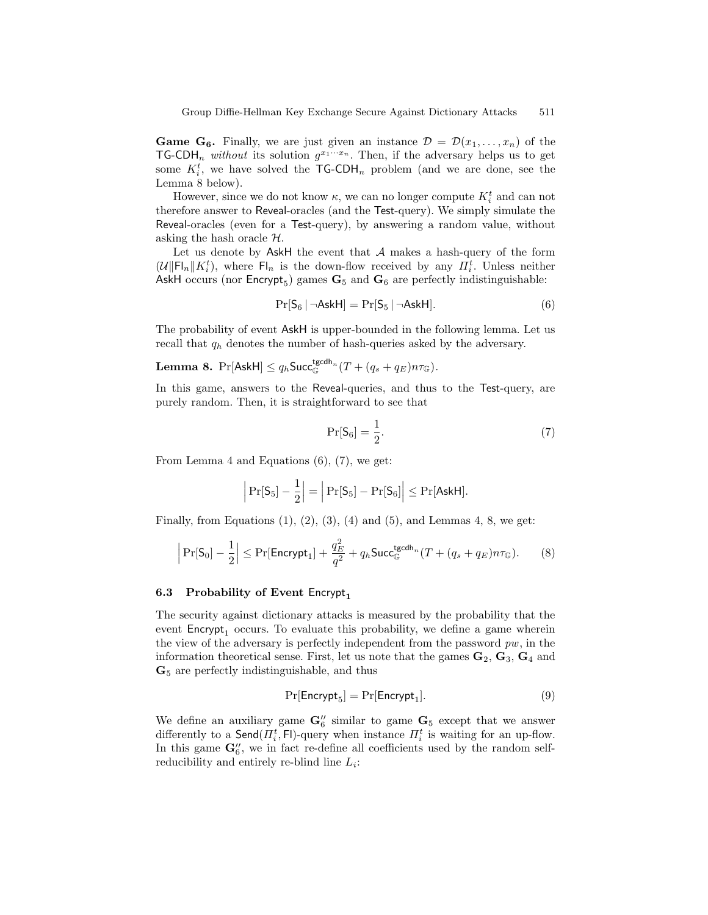**Game G<sub>6</sub>.** Finally, we are just given an instance  $\mathcal{D} = \mathcal{D}(x_1, \ldots, x_n)$  of the TG-CDH<sub>n</sub> without its solution  $g^{x_1 \cdots x_n}$ . Then, if the adversary helps us to get some  $K_i^t$ , we have solved the  $\mathsf{TG\text{-}CDH}_n$  problem (and we are done, see the Lemma 8 below).

However, since we do not know  $\kappa$ , we can no longer compute  $K_i^t$  and can not therefore answer to Reveal-oracles (and the Test-query). We simply simulate the Reveal-oracles (even for a Test-query), by answering a random value, without asking the hash oracle  $H$ .

Let us denote by AskH the event that  $A$  makes a hash-query of the form  $(\mathcal{U} \|\mathsf{Fl}_n\| K_i^t)$ , where  $\mathsf{Fl}_n$  is the down-flow received by any  $\Pi_i^t$ . Unless neither AskH occurs (nor  $\mathsf{Encrypt}_5$ ) games  $\mathbf{G}_5$  and  $\mathbf{G}_6$  are perfectly indistinguishable:

$$
Pr[S_6 | \neg \text{AskH}] = Pr[S_5 | \neg \text{AskH}]. \tag{6}
$$

The probability of event AskH is upper-bounded in the following lemma. Let us recall that  $q_h$  denotes the number of hash-queries asked by the adversary.

**Lemma 8.** 
$$
Pr[AskH] \le q_h
$$
  $succ_{\mathbb{G}}^{\mathsf{tgcdh}_n}(T + (q_s + q_E)n\tau_{\mathbb{G}}).$ 

In this game, answers to the Reveal-queries, and thus to the Test-query, are purely random. Then, it is straightforward to see that

$$
\Pr[S_6] = \frac{1}{2}.\tag{7}
$$

From Lemma 4 and Equations (6), (7), we get:

$$
\left|\Pr[S_5]-\frac{1}{2}\right|=\left|\Pr[S_5]-\Pr[S_6]\right|\le \Pr[{\mathsf{AskH}}].
$$

Finally, from Equations  $(1)$ ,  $(2)$ ,  $(3)$ ,  $(4)$  and  $(5)$ , and Lemmas 4, 8, we get:

$$
\left|\Pr[\mathsf{S}_0] - \frac{1}{2}\right| \le \Pr[\mathsf{Energy}_1] + \frac{q_E^2}{q^2} + q_h \mathsf{Succ}_{\mathbb{G}}^{\mathsf{tgcdh}_n}(T + (q_s + q_E)n\tau_{\mathbb{G}}). \tag{8}
$$

## 6.3 Probability of Event Encrypt<sub>1</sub>

The security against dictionary attacks is measured by the probability that the event  $\textsf{Encrypt}_1$  occurs. To evaluate this probability, we define a game wherein the view of the adversary is perfectly independent from the password  $pw$ , in the information theoretical sense. First, let us note that the games  $\mathbf{G}_2, \mathbf{G}_3, \mathbf{G}_4$  and G<sup>5</sup> are perfectly indistinguishable, and thus

$$
Pr[{\sf{Encrypt}}_5] = Pr[{\sf{Encrypt}}_1]. \tag{9}
$$

We define an auxiliary game  $\mathbf{G}_6''$  similar to game  $\mathbf{G}_5$  except that we answer differently to a  $\mathsf{Send}(H_i^t, \mathsf{Fl})$ -query when instance  $H_i^t$  is waiting for an up-flow. In this game  $\mathbf{G}_6^{\prime\prime}$ , we in fact re-define all coefficients used by the random selfreducibility and entirely re-blind line  $L_i$ :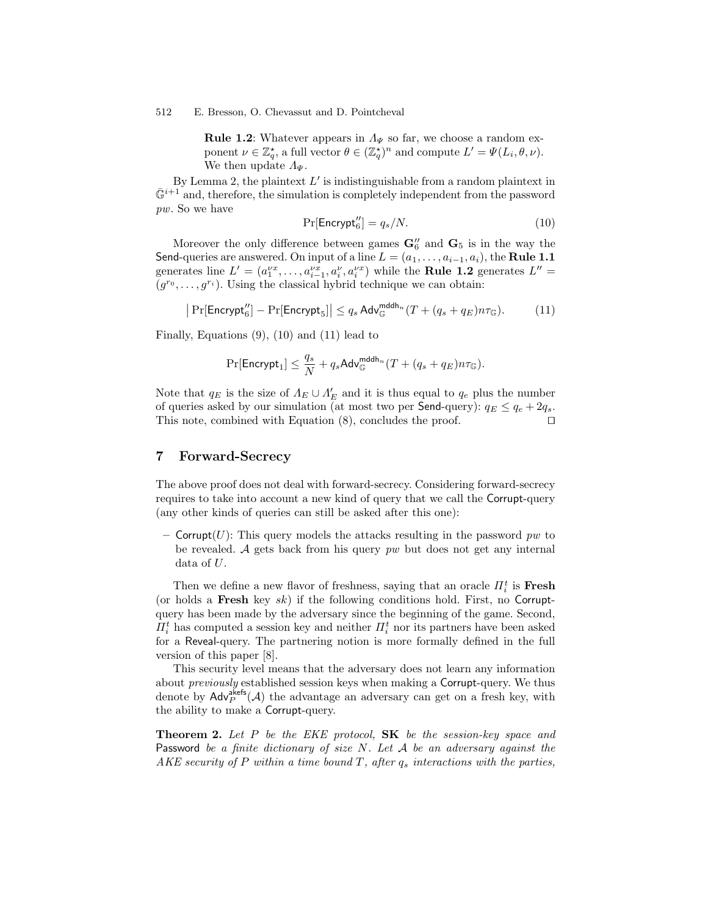**Rule 1.2:** Whatever appears in  $\Lambda_{\Psi}$  so far, we choose a random exponent  $\nu \in \mathbb{Z}_q^*$ , a full vector  $\theta \in (\mathbb{Z}_q^*)^n$  and compute  $L' = \Psi(L_i, \theta, \nu)$ . We then update  $\Lambda_{\Psi}$ .

By Lemma 2, the plaintext  $L'$  is indistinguishable from a random plaintext in  $\bar{\mathbb{G}}^{i+1}$  and, therefore, the simulation is completely independent from the password pw. So we have

$$
\Pr[\mathsf{Encrypt}_6''] = q_s/N. \tag{10}
$$

Moreover the only difference between games  $\mathbf{G}_6''$  and  $\mathbf{G}_5$  is in the way the Send-queries are answered. On input of a line  $L = (a_1, \ldots, a_{i-1}, a_i)$ , the **Rule 1.1** generates line  $L' = (a_1^{\nu x}, \dots, a_{i-1}^{\nu x}, a_i^{\nu} a_i^{\nu} )$  while the **Rule 1.2** generates  $L'' =$  $(g^{r_0}, \ldots, g^{r_i})$ . Using the classical hybrid technique we can obtain:

$$
\left| \Pr[\mathsf{Encrypt}_6''] - \Pr[\mathsf{Encrypt}_5] \right| \le q_s \operatorname{Adv}_{\mathbb{G}}^{\mathsf{mddh}_n} (T + (q_s + q_E) n \tau_{\mathbb{G}}). \tag{11}
$$

Finally, Equations (9), (10) and (11) lead to

$$
\Pr[\mathsf{Encrypt}_1] \leq \frac{q_s}{N} + q_s \mathsf{Adv}_{\mathbb{G}}^{\mathsf{mddh}_n} (T + (q_s + q_E) n \tau_{\mathbb{G}}).
$$

Note that  $q_E$  is the size of  $\Lambda_E \cup \Lambda'_E$  and it is thus equal to  $q_e$  plus the number of queries asked by our simulation (at most two per **Send**-query):  $q_E \leq q_e + 2q_s$ . This note, combined with Equation  $(8)$ , concludes the proof.

# 7 Forward-Secrecy

The above proof does not deal with forward-secrecy. Considering forward-secrecy requires to take into account a new kind of query that we call the Corrupt-query (any other kinds of queries can still be asked after this one):

– Corrupt(U): This query models the attacks resulting in the password pw to be revealed. A gets back from his query  $pw$  but does not get any internal data of U.

Then we define a new flavor of freshness, saying that an oracle  $\Pi_i^t$  is **Fresh** (or holds a **Fresh** key sk) if the following conditions hold. First, no Corruptquery has been made by the adversary since the beginning of the game. Second,  $\Pi_i^t$  has computed a session key and neither  $\Pi_i^t$  nor its partners have been asked for a Reveal-query. The partnering notion is more formally defined in the full version of this paper [8].

This security level means that the adversary does not learn any information about previously established session keys when making a Corrupt-query. We thus denote by  $\mathsf{Adv}_{P}^{\mathsf{akefs}}(\mathcal{A})$  the advantage an adversary can get on a fresh key, with the ability to make a Corrupt-query.

**Theorem 2.** Let P be the EKE protocol, SK be the session-key space and Password be a finite dictionary of size  $N$ . Let  $A$  be an adversary against the AKE security of P within a time bound  $T$ , after  $q_s$  interactions with the parties,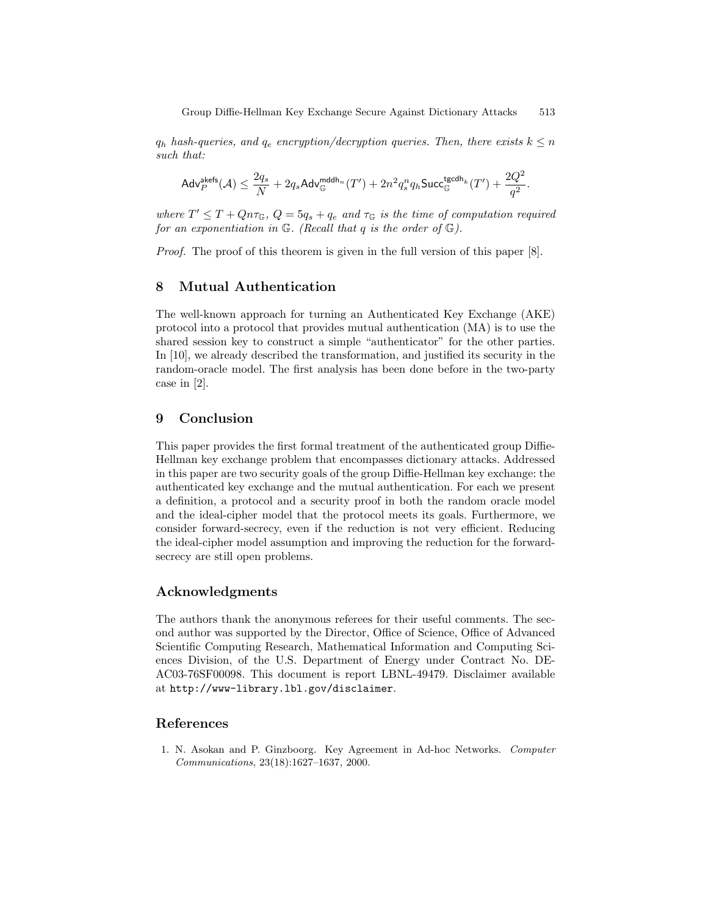$q_h$  hash-queries, and  $q_e$  encryption/decryption queries. Then, there exists  $k \leq n$ such that:

$$
\mathsf{Adv}^{\mathsf{akefs}}_P(\mathcal{A}) \leq \frac{2q_s}{N} + 2q_s\mathsf{Adv}^{\mathsf{mddh}_n}_\mathbb{G}(T') + 2n^2q_s^nq_h\mathsf{Succ}^{\mathsf{tgcdh}_k}_\mathbb{G}(T') + \frac{2Q^2}{q^2}.
$$

where  $T' \leq T + Qn\tau_{\mathbb{G}}$ ,  $Q = 5q_s + q_e$  and  $\tau_{\mathbb{G}}$  is the time of computation required for an exponentiation in  $\mathbb{G}$ . (Recall that q is the order of  $\mathbb{G}$ ).

*Proof.* The proof of this theorem is given in the full version of this paper [8].

# 8 Mutual Authentication

The well-known approach for turning an Authenticated Key Exchange (AKE) protocol into a protocol that provides mutual authentication (MA) is to use the shared session key to construct a simple "authenticator" for the other parties. In [10], we already described the transformation, and justified its security in the random-oracle model. The first analysis has been done before in the two-party case in [2].

# 9 Conclusion

This paper provides the first formal treatment of the authenticated group Diffie-Hellman key exchange problem that encompasses dictionary attacks. Addressed in this paper are two security goals of the group Diffie-Hellman key exchange: the authenticated key exchange and the mutual authentication. For each we present a definition, a protocol and a security proof in both the random oracle model and the ideal-cipher model that the protocol meets its goals. Furthermore, we consider forward-secrecy, even if the reduction is not very efficient. Reducing the ideal-cipher model assumption and improving the reduction for the forwardsecrecy are still open problems.

## Acknowledgments

The authors thank the anonymous referees for their useful comments. The second author was supported by the Director, Office of Science, Office of Advanced Scientific Computing Research, Mathematical Information and Computing Sciences Division, of the U.S. Department of Energy under Contract No. DE-AC03-76SF00098. This document is report LBNL-49479. Disclaimer available at http://www-library.lbl.gov/disclaimer.

# References

1. N. Asokan and P. Ginzboorg. Key Agreement in Ad-hoc Networks. Computer Communications, 23(18):1627–1637, 2000.